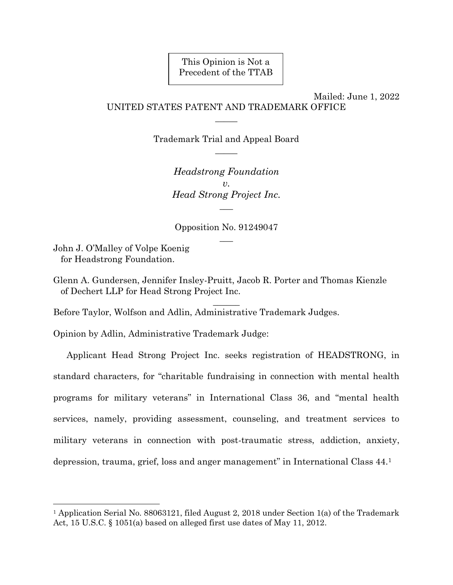This Opinion is Not a Precedent of the TTAB

Mailed: June 1, 2022 UNITED STATES PATENT AND TRADEMARK OFFICE

> Trademark Trial and Appeal Board  $\overline{\phantom{a}}$

 $\mathcal{L}$ 

*Headstrong Foundation v. Head Strong Project Inc.* \_\_\_

Opposition No. 91249047  $\overline{\phantom{a}}$ 

John J. O'Malley of Volpe Koenig for Headstrong Foundation.

 $\overline{a}$ 

Glenn A. Gundersen, Jennifer Insley-Pruitt, Jacob R. Porter and Thomas Kienzle of Dechert LLP for Head Strong Project Inc.

 $\overline{\phantom{a}}$ 

Before Taylor, Wolfson and Adlin, Administrative Trademark Judges.

Opinion by Adlin, Administrative Trademark Judge:

Applicant Head Strong Project Inc. seeks registration of HEADSTRONG, in standard characters, for "charitable fundraising in connection with mental health programs for military veterans" in International Class 36, and "mental health services, namely, providing assessment, counseling, and treatment services to military veterans in connection with post-traumatic stress, addiction, anxiety, depression, trauma, grief, loss and anger management" in International Class 44.<sup>1</sup>

<sup>1</sup> Application Serial No. 88063121, filed August 2, 2018 under Section 1(a) of the Trademark Act, 15 U.S.C. § 1051(a) based on alleged first use dates of May 11, 2012.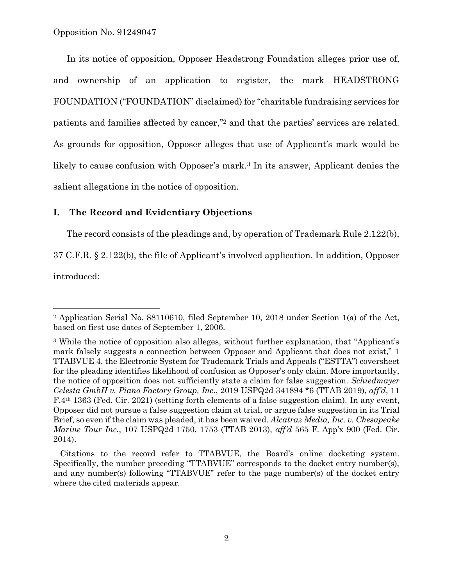Opposition No. 91249047

In its notice of opposition, Opposer Headstrong Foundation alleges prior use of, and ownership of an application to register, the mark HEADSTRONG FOUNDATION ("FOUNDATION" disclaimed) for "charitable fundraising services for patients and families affected by cancer," <sup>2</sup> and that the parties' services are related. As grounds for opposition, Opposer alleges that use of Applicant's mark would be likely to cause confusion with Opposer's mark.<sup>3</sup> In its answer, Applicant denies the salient allegations in the notice of opposition.

# **I. The Record and Evidentiary Objections**

The record consists of the pleadings and, by operation of Trademark Rule 2.122(b),

37 C.F.R. § 2.122(b), the file of Applicant's involved application. In addition, Opposer

introduced:

 $\overline{a}$ 

<sup>2</sup> Application Serial No. 88110610, filed September 10, 2018 under Section 1(a) of the Act, based on first use dates of September 1, 2006.

<sup>3</sup> While the notice of opposition also alleges, without further explanation, that "Applicant's mark falsely suggests a connection between Opposer and Applicant that does not exist," 1 TTABVUE 4, the Electronic System for Trademark Trials and Appeals ("ESTTA") coversheet for the pleading identifies likelihood of confusion as Opposer's only claim. More importantly, the notice of opposition does not sufficiently state a claim for false suggestion. *Schiedmayer Celesta GmbH v. Piano Factory Group, Inc.*, 2019 USPQ2d 341894 \*6 (TTAB 2019), *aff'd*, 11 F.4th 1363 (Fed. Cir. 2021) (setting forth elements of a false suggestion claim). In any event, Opposer did not pursue a false suggestion claim at trial, or argue false suggestion in its Trial Brief, so even if the claim was pleaded, it has been waived. *Alcatraz Media, Inc. v. Chesapeake Marine Tour Inc.*, 107 USPQ2d 1750, 1753 (TTAB 2013), *aff'd* 565 F. App'x 900 (Fed. Cir. 2014).

Citations to the record refer to TTABVUE, the Board's online docketing system. Specifically, the number preceding "TTABVUE" corresponds to the docket entry number(s), and any number(s) following "TTABVUE" refer to the page number(s) of the docket entry where the cited materials appear.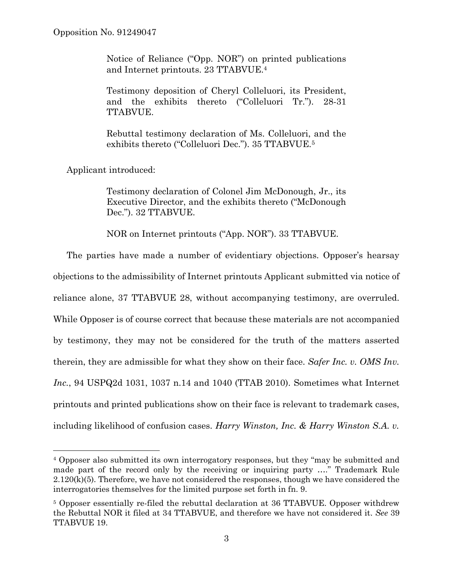Notice of Reliance ("Opp. NOR") on printed publications and Internet printouts. 23 TTABVUE.<sup>4</sup>

Testimony deposition of Cheryl Colleluori, its President, and the exhibits thereto ("Colleluori Tr."). 28-31 TTABVUE.

Rebuttal testimony declaration of Ms. Colleluori, and the exhibits thereto ("Colleluori Dec."). 35 TTABVUE.<sup>5</sup>

Applicant introduced:

l

Testimony declaration of Colonel Jim McDonough, Jr., its Executive Director, and the exhibits thereto ("McDonough Dec."). 32 TTABVUE.

NOR on Internet printouts ("App. NOR"). 33 TTABVUE.

The parties have made a number of evidentiary objections. Opposer's hearsay objections to the admissibility of Internet printouts Applicant submitted via notice of reliance alone, 37 TTABVUE 28, without accompanying testimony, are overruled. While Opposer is of course correct that because these materials are not accompanied by testimony, they may not be considered for the truth of the matters asserted therein, they are admissible for what they show on their face. *Safer Inc. v. OMS Inv. Inc.*, 94 USPQ2d 1031, 1037 n.14 and 1040 (TTAB 2010). Sometimes what Internet printouts and printed publications show on their face is relevant to trademark cases, including likelihood of confusion cases. *Harry Winston, Inc. & Harry Winston S.A. v.* 

<sup>4</sup> Opposer also submitted its own interrogatory responses, but they "may be submitted and made part of the record only by the receiving or inquiring party …." Trademark Rule  $2.120(k)(5)$ . Therefore, we have not considered the responses, though we have considered the interrogatories themselves for the limited purpose set forth in fn. 9.

<sup>5</sup> Opposer essentially re-filed the rebuttal declaration at 36 TTABVUE. Opposer withdrew the Rebuttal NOR it filed at 34 TTABVUE, and therefore we have not considered it. *See* 39 TTABVUE 19.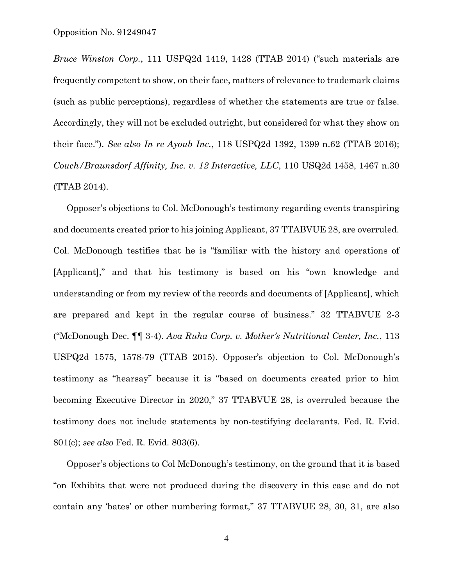*Bruce Winston Corp.*, 111 USPQ2d 1419, 1428 (TTAB 2014) ("such materials are frequently competent to show, on their face, matters of relevance to trademark claims (such as public perceptions), regardless of whether the statements are true or false. Accordingly, they will not be excluded outright, but considered for what they show on their face."). *See also In re Ayoub Inc.*, 118 USPQ2d 1392, 1399 n.62 (TTAB 2016); *Couch/Braunsdorf Affinity, Inc. v. 12 Interactive, LLC*, 110 USQ2d 1458, 1467 n.30 (TTAB 2014).

Opposer's objections to Col. McDonough's testimony regarding events transpiring and documents created prior to his joining Applicant, 37 TTABVUE 28, are overruled. Col. McDonough testifies that he is "familiar with the history and operations of [Applicant]," and that his testimony is based on his "own knowledge and understanding or from my review of the records and documents of [Applicant], which are prepared and kept in the regular course of business." 32 TTABVUE 2-3 ("McDonough Dec. ¶¶ 3-4). *Ava Ruha Corp. v. Mother's Nutritional Center, Inc.*, 113 USPQ2d 1575, 1578-79 (TTAB 2015). Opposer's objection to Col. McDonough's testimony as "hearsay" because it is "based on documents created prior to him becoming Executive Director in 2020," 37 TTABVUE 28, is overruled because the testimony does not include statements by non-testifying declarants. Fed. R. Evid. 801(c); *see also* Fed. R. Evid. 803(6).

Opposer's objections to Col McDonough's testimony, on the ground that it is based "on Exhibits that were not produced during the discovery in this case and do not contain any 'bates' or other numbering format," 37 TTABVUE 28, 30, 31, are also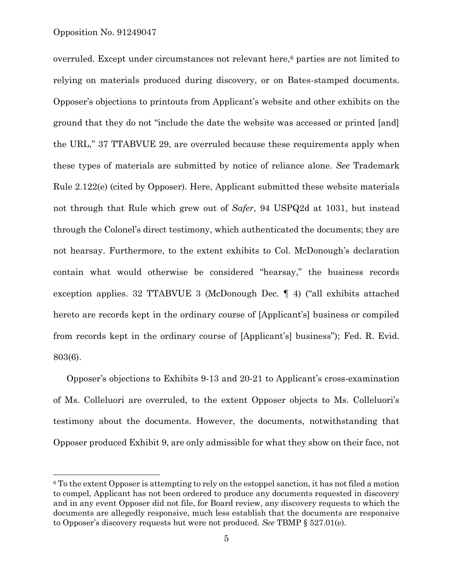### Opposition No. 91249047

l

overruled. Except under circumstances not relevant here,<sup>6</sup> parties are not limited to relying on materials produced during discovery, or on Bates-stamped documents. Opposer's objections to printouts from Applicant's website and other exhibits on the ground that they do not "include the date the website was accessed or printed [and] the URL," 37 TTABVUE 29, are overruled because these requirements apply when these types of materials are submitted by notice of reliance alone. *See* Trademark Rule 2.122(e) (cited by Opposer). Here, Applicant submitted these website materials not through that Rule which grew out of *Safer*, 94 USPQ2d at 1031, but instead through the Colonel's direct testimony, which authenticated the documents; they are not hearsay. Furthermore, to the extent exhibits to Col. McDonough's declaration contain what would otherwise be considered "hearsay," the business records exception applies. 32 TTABVUE 3 (McDonough Dec. ¶ 4) ("all exhibits attached hereto are records kept in the ordinary course of [Applicant's] business or compiled from records kept in the ordinary course of [Applicant's] business"); Fed. R. Evid. 803(6).

Opposer's objections to Exhibits 9-13 and 20-21 to Applicant's cross-examination of Ms. Colleluori are overruled, to the extent Opposer objects to Ms. Colleluori's testimony about the documents. However, the documents, notwithstanding that Opposer produced Exhibit 9, are only admissible for what they show on their face, not

 $6$  To the extent Opposer is attempting to rely on the estoppel sanction, it has not filed a motion to compel, Applicant has not been ordered to produce any documents requested in discovery and in any event Opposer did not file, for Board review, any discovery requests to which the documents are allegedly responsive, much less establish that the documents are responsive to Opposer's discovery requests but were not produced. *See* TBMP § 527.01(e).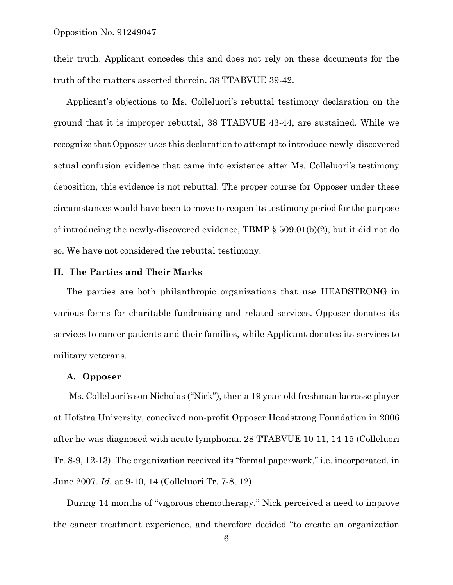their truth. Applicant concedes this and does not rely on these documents for the truth of the matters asserted therein. 38 TTABVUE 39-42.

Applicant's objections to Ms. Colleluori's rebuttal testimony declaration on the ground that it is improper rebuttal, 38 TTABVUE 43-44, are sustained. While we recognize that Opposer uses this declaration to attempt to introduce newly-discovered actual confusion evidence that came into existence after Ms. Colleluori's testimony deposition, this evidence is not rebuttal. The proper course for Opposer under these circumstances would have been to move to reopen its testimony period for the purpose of introducing the newly-discovered evidence, TBMP § 509.01(b)(2), but it did not do so. We have not considered the rebuttal testimony.

## **II. The Parties and Their Marks**

The parties are both philanthropic organizations that use HEADSTRONG in various forms for charitable fundraising and related services. Opposer donates its services to cancer patients and their families, while Applicant donates its services to military veterans.

#### **A. Opposer**

Ms. Colleluori's son Nicholas ("Nick"), then a 19 year-old freshman lacrosse player at Hofstra University, conceived non-profit Opposer Headstrong Foundation in 2006 after he was diagnosed with acute lymphoma. 28 TTABVUE 10-11, 14-15 (Colleluori Tr. 8-9, 12-13). The organization received its "formal paperwork," i.e. incorporated, in June 2007. *Id.* at 9-10, 14 (Colleluori Tr. 7-8, 12).

During 14 months of "vigorous chemotherapy," Nick perceived a need to improve the cancer treatment experience, and therefore decided "to create an organization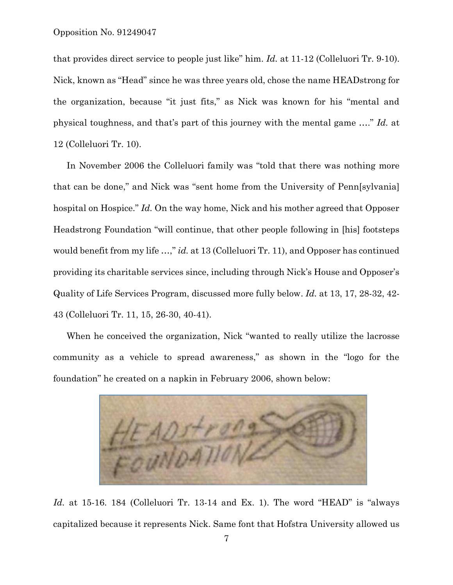that provides direct service to people just like" him. *Id.* at 11-12 (Colleluori Tr. 9-10). Nick, known as "Head" since he was three years old, chose the name HEADstrong for the organization, because "it just fits," as Nick was known for his "mental and physical toughness, and that's part of this journey with the mental game …." *Id.* at 12 (Colleluori Tr. 10).

In November 2006 the Colleluori family was "told that there was nothing more that can be done," and Nick was "sent home from the University of Penn[sylvania] hospital on Hospice." *Id.* On the way home, Nick and his mother agreed that Opposer Headstrong Foundation "will continue, that other people following in [his] footsteps would benefit from my life ...," *id.* at 13 (Colleluori Tr. 11), and Opposer has continued providing its charitable services since, including through Nick's House and Opposer's Quality of Life Services Program, discussed more fully below. *Id.* at 13, 17, 28-32, 42- 43 (Colleluori Tr. 11, 15, 26-30, 40-41).

When he conceived the organization, Nick "wanted to really utilize the lacrosse community as a vehicle to spread awareness," as shown in the "logo for the foundation" he created on a napkin in February 2006, shown below:



Id. at 15-16. 184 (Colleluori Tr. 13-14 and Ex. 1). The word "HEAD" is "always capitalized because it represents Nick. Same font that Hofstra University allowed us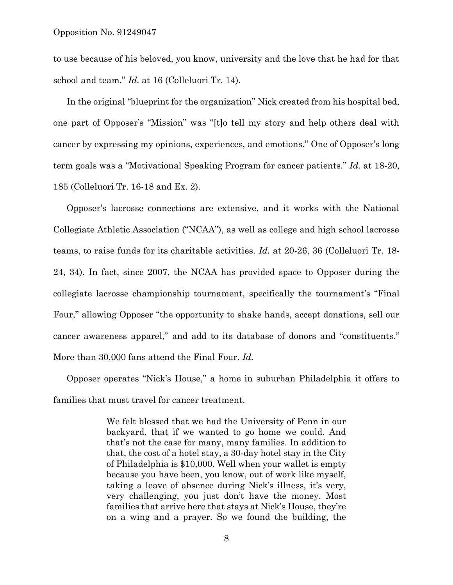to use because of his beloved, you know, university and the love that he had for that school and team." *Id.* at 16 (Colleluori Tr. 14).

In the original "blueprint for the organization" Nick created from his hospital bed, one part of Opposer's "Mission" was "[t]o tell my story and help others deal with cancer by expressing my opinions, experiences, and emotions." One of Opposer's long term goals was a "Motivational Speaking Program for cancer patients." *Id.* at 18-20, 185 (Colleluori Tr. 16-18 and Ex. 2).

Opposer's lacrosse connections are extensive, and it works with the National Collegiate Athletic Association ("NCAA"), as well as college and high school lacrosse teams, to raise funds for its charitable activities. *Id.* at 20-26, 36 (Colleluori Tr. 18- 24, 34). In fact, since 2007, the NCAA has provided space to Opposer during the collegiate lacrosse championship tournament, specifically the tournament's "Final Four," allowing Opposer "the opportunity to shake hands, accept donations, sell our cancer awareness apparel," and add to its database of donors and "constituents." More than 30,000 fans attend the Final Four. *Id.*

Opposer operates "Nick's House," a home in suburban Philadelphia it offers to families that must travel for cancer treatment.

> We felt blessed that we had the University of Penn in our backyard, that if we wanted to go home we could. And that's not the case for many, many families. In addition to that, the cost of a hotel stay, a 30-day hotel stay in the City of Philadelphia is \$10,000. Well when your wallet is empty because you have been, you know, out of work like myself, taking a leave of absence during Nick's illness, it's very, very challenging, you just don't have the money. Most families that arrive here that stays at Nick's House, they're on a wing and a prayer. So we found the building, the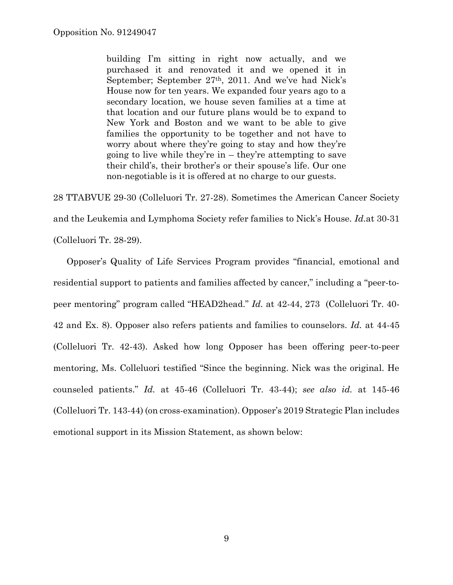building I'm sitting in right now actually, and we purchased it and renovated it and we opened it in September; September 27th, 2011. And we've had Nick's House now for ten years. We expanded four years ago to a secondary location, we house seven families at a time at that location and our future plans would be to expand to New York and Boston and we want to be able to give families the opportunity to be together and not have to worry about where they're going to stay and how they're going to live while they're in – they're attempting to save their child's, their brother's or their spouse's life. Our one non-negotiable is it is offered at no charge to our guests.

28 TTABVUE 29-30 (Colleluori Tr. 27-28). Sometimes the American Cancer Society and the Leukemia and Lymphoma Society refer families to Nick's House. *Id.*at 30-31 (Colleluori Tr. 28-29).

Opposer's Quality of Life Services Program provides "financial, emotional and residential support to patients and families affected by cancer," including a "peer-topeer mentoring" program called "HEAD2head." *Id.* at 42-44, 273 (Colleluori Tr. 40- 42 and Ex. 8). Opposer also refers patients and families to counselors. *Id.* at 44-45 (Colleluori Tr. 42-43). Asked how long Opposer has been offering peer-to-peer mentoring, Ms. Colleluori testified "Since the beginning. Nick was the original. He counseled patients." *Id.* at 45-46 (Colleluori Tr. 43-44); *see also id.* at 145-46 (Colleluori Tr. 143-44) (on cross-examination). Opposer's 2019 Strategic Plan includes emotional support in its Mission Statement, as shown below: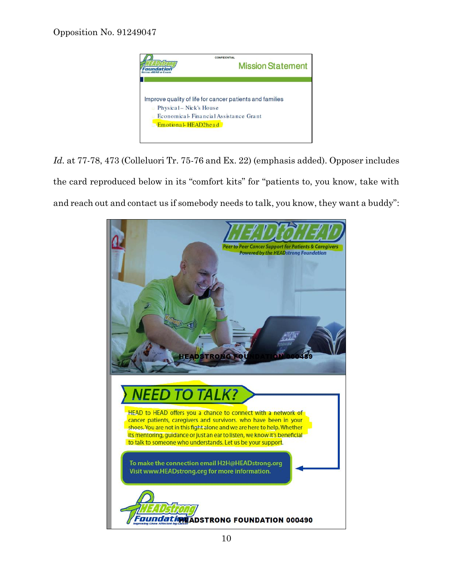

*Id.* at 77-78, 473 (Colleluori Tr. 75-76 and Ex. 22) (emphasis added). Opposer includes the card reproduced below in its "comfort kits" for "patients to, you know, take with and reach out and contact us if somebody needs to talk, you know, they want a buddy":

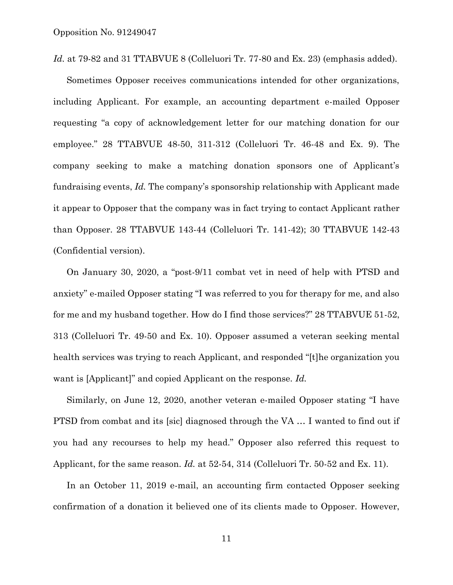Id. at 79-82 and 31 TTABVUE 8 (Colleluori Tr. 77-80 and Ex. 23) (emphasis added).

Sometimes Opposer receives communications intended for other organizations, including Applicant. For example, an accounting department e-mailed Opposer requesting "a copy of acknowledgement letter for our matching donation for our employee." 28 TTABVUE 48-50, 311-312 (Colleluori Tr. 46-48 and Ex. 9). The company seeking to make a matching donation sponsors one of Applicant's fundraising events, *Id.* The company's sponsorship relationship with Applicant made it appear to Opposer that the company was in fact trying to contact Applicant rather than Opposer. 28 TTABVUE 143-44 (Colleluori Tr. 141-42); 30 TTABVUE 142-43 (Confidential version).

On January 30, 2020, a "post-9/11 combat vet in need of help with PTSD and anxiety" e-mailed Opposer stating "I was referred to you for therapy for me, and also for me and my husband together. How do I find those services?" 28 TTABVUE 51-52, 313 (Colleluori Tr. 49-50 and Ex. 10). Opposer assumed a veteran seeking mental health services was trying to reach Applicant, and responded "[t]he organization you want is [Applicant]" and copied Applicant on the response. *Id.*

Similarly, on June 12, 2020, another veteran e-mailed Opposer stating "I have PTSD from combat and its [sic] diagnosed through the VA … I wanted to find out if you had any recourses to help my head." Opposer also referred this request to Applicant, for the same reason. *Id.* at 52-54, 314 (Colleluori Tr. 50-52 and Ex. 11).

In an October 11, 2019 e-mail, an accounting firm contacted Opposer seeking confirmation of a donation it believed one of its clients made to Opposer. However,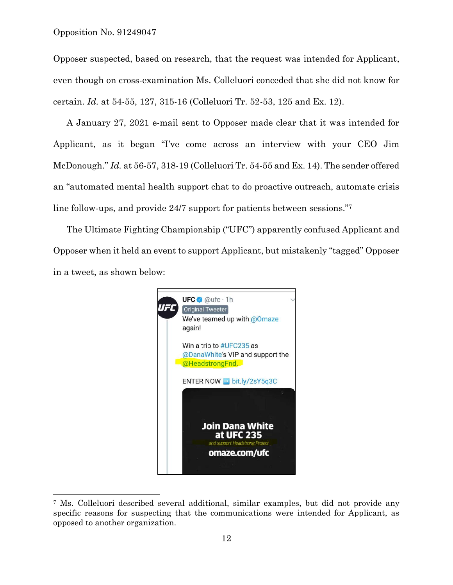l

Opposer suspected, based on research, that the request was intended for Applicant, even though on cross-examination Ms. Colleluori conceded that she did not know for certain. *Id.* at 54-55, 127, 315-16 (Colleluori Tr. 52-53, 125 and Ex. 12).

A January 27, 2021 e-mail sent to Opposer made clear that it was intended for Applicant, as it began "I've come across an interview with your CEO Jim McDonough." *Id.* at 56-57, 318-19 (Colleluori Tr. 54-55 and Ex. 14). The sender offered an "automated mental health support chat to do proactive outreach, automate crisis line follow-ups, and provide 24/7 support for patients between sessions."<sup>7</sup>

The Ultimate Fighting Championship ("UFC") apparently confused Applicant and Opposer when it held an event to support Applicant, but mistakenly "tagged" Opposer in a tweet, as shown below:



<sup>7</sup> Ms. Colleluori described several additional, similar examples, but did not provide any specific reasons for suspecting that the communications were intended for Applicant, as opposed to another organization.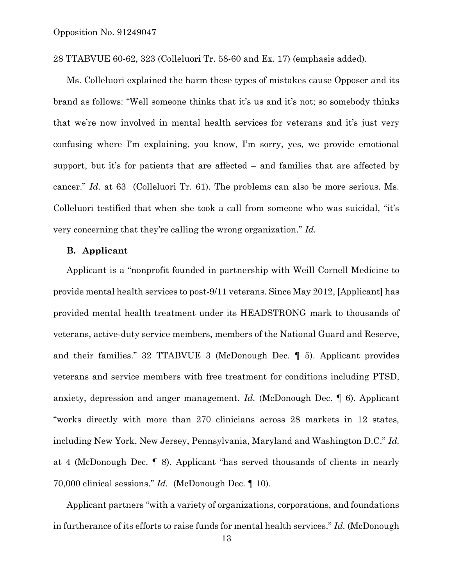28 TTABVUE 60-62, 323 (Colleluori Tr. 58-60 and Ex. 17) (emphasis added).

Ms. Colleluori explained the harm these types of mistakes cause Opposer and its brand as follows: "Well someone thinks that it's us and it's not; so somebody thinks that we're now involved in mental health services for veterans and it's just very confusing where I'm explaining, you know, I'm sorry, yes, we provide emotional support, but it's for patients that are affected – and families that are affected by cancer." *Id.* at 63 (Colleluori Tr. 61). The problems can also be more serious. Ms. Colleluori testified that when she took a call from someone who was suicidal, "it's very concerning that they're calling the wrong organization." *Id.*

#### **B. Applicant**

Applicant is a "nonprofit founded in partnership with Weill Cornell Medicine to provide mental health services to post-9/11 veterans. Since May 2012, [Applicant] has provided mental health treatment under its HEADSTRONG mark to thousands of veterans, active-duty service members, members of the National Guard and Reserve, and their families." 32 TTABVUE 3 (McDonough Dec. ¶ 5). Applicant provides veterans and service members with free treatment for conditions including PTSD, anxiety, depression and anger management. *Id.* (McDonough Dec. ¶ 6). Applicant "works directly with more than 270 clinicians across 28 markets in 12 states, including New York, New Jersey, Pennsylvania, Maryland and Washington D.C." *Id.* at 4 (McDonough Dec. ¶ 8). Applicant "has served thousands of clients in nearly 70,000 clinical sessions." *Id.* (McDonough Dec. ¶ 10).

Applicant partners "with a variety of organizations, corporations, and foundations in furtherance of its efforts to raise funds for mental health services." *Id.* (McDonough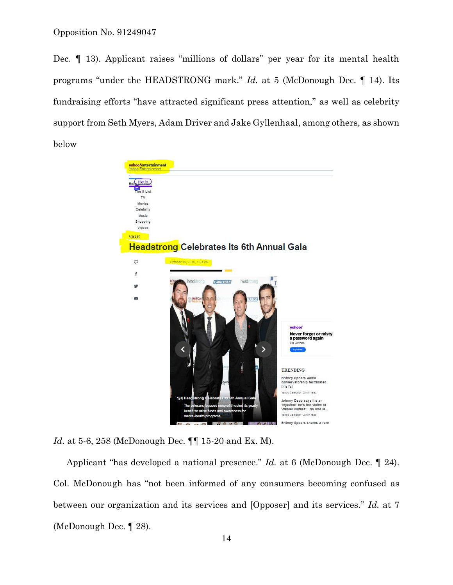Dec. ¶ 13). Applicant raises "millions of dollars" per year for its mental health programs "under the HEADSTRONG mark." *Id.* at 5 (McDonough Dec. ¶ 14). Its fundraising efforts "have attracted significant press attention," as well as celebrity support from Seth Myers, Adam Driver and Jake Gyllenhaal, among others, as shown below



*Id.* at 5-6, 258 (McDonough Dec. ¶¶ 15-20 and Ex. M).

Applicant "has developed a national presence." *Id.* at 6 (McDonough Dec. ¶ 24). Col. McDonough has "not been informed of any consumers becoming confused as between our organization and its services and [Opposer] and its services." *Id.* at 7 (McDonough Dec. ¶ 28).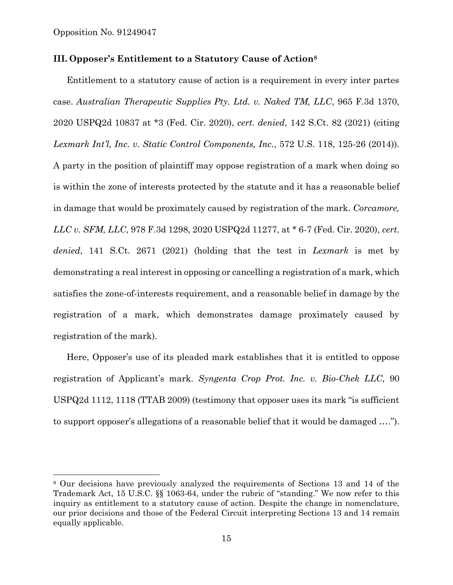l

## **III. Opposer's Entitlement to a Statutory Cause of Action<sup>8</sup>**

Entitlement to a statutory cause of action is a requirement in every inter partes case. *Australian Therapeutic Supplies Pty. Ltd. v. Naked TM, LLC*, 965 F.3d 1370, 2020 USPQ2d 10837 at \*3 (Fed. Cir. 2020), *cert. denied*, 142 S.Ct. 82 (2021) (citing *Lexmark Int'l, Inc. v. Static Control Components, Inc.*, 572 U.S. 118, 125-26 (2014)). A party in the position of plaintiff may oppose registration of a mark when doing so is within the zone of interests protected by the statute and it has a reasonable belief in damage that would be proximately caused by registration of the mark. *Corcamore, LLC v. SFM, LLC*, 978 F.3d 1298, 2020 USPQ2d 11277, at \* 6-7 (Fed. Cir. 2020), *cert. denied*, 141 S.Ct. 2671 (2021) (holding that the test in *Lexmark* is met by demonstrating a real interest in opposing or cancelling a registration of a mark, which satisfies the zone-of-interests requirement, and a reasonable belief in damage by the registration of a mark, which demonstrates damage proximately caused by registration of the mark).

Here, Opposer's use of its pleaded mark establishes that it is entitled to oppose registration of Applicant's mark. *Syngenta Crop Prot. Inc. v. Bio-Chek LLC,* 90 USPQ2d 1112, 1118 (TTAB 2009) (testimony that opposer uses its mark "is sufficient to support opposer's allegations of a reasonable belief that it would be damaged ….").

<sup>8</sup> Our decisions have previously analyzed the requirements of Sections 13 and 14 of the Trademark Act, 15 U.S.C. §§ 1063-64, under the rubric of "standing." We now refer to this inquiry as entitlement to a statutory cause of action. Despite the change in nomenclature, our prior decisions and those of the Federal Circuit interpreting Sections 13 and 14 remain equally applicable.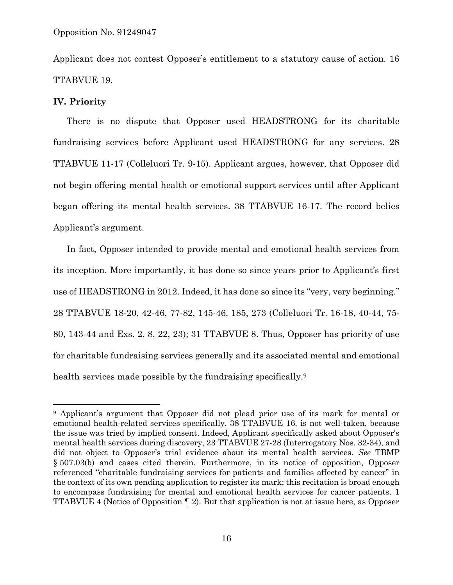Applicant does not contest Opposer's entitlement to a statutory cause of action. 16 TTABVUE 19.

# **IV. Priority**

l

There is no dispute that Opposer used HEADSTRONG for its charitable fundraising services before Applicant used HEADSTRONG for any services. 28 TTABVUE 11-17 (Colleluori Tr. 9-15). Applicant argues, however, that Opposer did not begin offering mental health or emotional support services until after Applicant began offering its mental health services. 38 TTABVUE 16-17. The record belies Applicant's argument.

In fact, Opposer intended to provide mental and emotional health services from its inception. More importantly, it has done so since years prior to Applicant's first use of HEADSTRONG in 2012. Indeed, it has done so since its "very, very beginning." 28 TTABVUE 18-20, 42-46, 77-82, 145-46, 185, 273 (Colleluori Tr. 16-18, 40-44, 75- 80, 143-44 and Exs. 2, 8, 22, 23); 31 TTABVUE 8. Thus, Opposer has priority of use for charitable fundraising services generally and its associated mental and emotional health services made possible by the fundraising specifically.<sup>9</sup>

<sup>9</sup> Applicant's argument that Opposer did not plead prior use of its mark for mental or emotional health-related services specifically, 38 TTABVUE 16, is not well-taken, because the issue was tried by implied consent. Indeed, Applicant specifically asked about Opposer's mental health services during discovery, 23 TTABVUE 27-28 (Interrogatory Nos. 32-34), and did not object to Opposer's trial evidence about its mental health services. *See* TBMP § 507.03(b) and cases cited therein. Furthermore, in its notice of opposition, Opposer referenced "charitable fundraising services for patients and families affected by cancer" in the context of its own pending application to register its mark; this recitation is broad enough to encompass fundraising for mental and emotional health services for cancer patients. 1 TTABVUE 4 (Notice of Opposition ¶ 2). But that application is not at issue here, as Opposer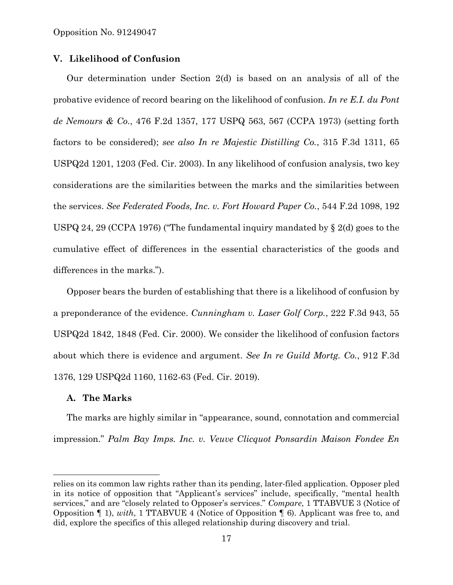# **V. Likelihood of Confusion**

Our determination under Section 2(d) is based on an analysis of all of the probative evidence of record bearing on the likelihood of confusion. *In re E.I. du Pont de Nemours & Co.*, 476 F.2d 1357, 177 USPQ 563, 567 (CCPA 1973) (setting forth factors to be considered); *see also In re Majestic Distilling Co.*, 315 F.3d 1311, 65 USPQ2d 1201, 1203 (Fed. Cir. 2003). In any likelihood of confusion analysis, two key considerations are the similarities between the marks and the similarities between the services. *See Federated Foods, Inc. v. Fort Howard Paper Co.*, 544 F.2d 1098, 192 USPQ 24, 29 (CCPA 1976) ("The fundamental inquiry mandated by § 2(d) goes to the cumulative effect of differences in the essential characteristics of the goods and differences in the marks.").

Opposer bears the burden of establishing that there is a likelihood of confusion by a preponderance of the evidence. *Cunningham v. Laser Golf Corp.*, 222 F.3d 943, 55 USPQ2d 1842, 1848 (Fed. Cir. 2000). We consider the likelihood of confusion factors about which there is evidence and argument. *See In re Guild Mortg. Co.*, 912 F.3d 1376, 129 USPQ2d 1160, 1162-63 (Fed. Cir. 2019).

#### **A. The Marks**

l

The marks are highly similar in "appearance, sound, connotation and commercial impression." *Palm Bay Imps. Inc. v. Veuve Clicquot Ponsardin Maison Fondee En* 

relies on its common law rights rather than its pending, later-filed application. Opposer pled in its notice of opposition that "Applicant's services" include, specifically, "mental health services," and are "closely related to Opposer's services." *Compare*, 1 TTABVUE 3 (Notice of Opposition ¶ 1), *with*, 1 TTABVUE 4 (Notice of Opposition ¶ 6). Applicant was free to, and did, explore the specifics of this alleged relationship during discovery and trial.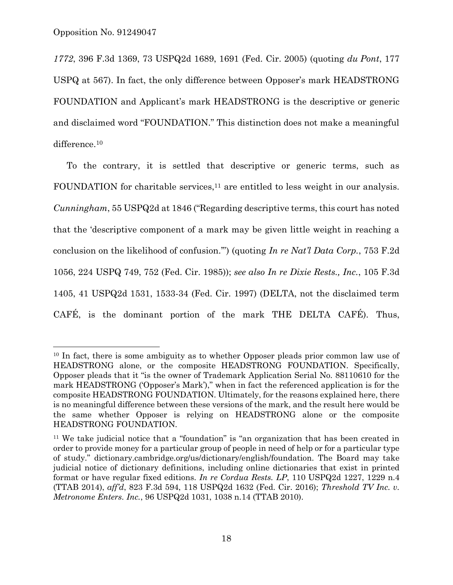l

*1772*, 396 F.3d 1369, 73 USPQ2d 1689, 1691 (Fed. Cir. 2005) (quoting *du Pont*, 177 USPQ at 567). In fact, the only difference between Opposer's mark HEADSTRONG FOUNDATION and Applicant's mark HEADSTRONG is the descriptive or generic and disclaimed word "FOUNDATION." This distinction does not make a meaningful difference.<sup>10</sup>

To the contrary, it is settled that descriptive or generic terms, such as FOUNDATION for charitable services,<sup>11</sup> are entitled to less weight in our analysis. *Cunningham*, 55 USPQ2d at 1846 ("Regarding descriptive terms, this court has noted that the 'descriptive component of a mark may be given little weight in reaching a conclusion on the likelihood of confusion.'") (quoting *In re Nat'l Data Corp.*, 753 F.2d 1056, 224 USPQ 749, 752 (Fed. Cir. 1985)); *see also In re Dixie Rests., Inc.*, 105 F.3d 1405, 41 USPQ2d 1531, 1533-34 (Fed. Cir. 1997) (DELTA, not the disclaimed term CAFÉ, is the dominant portion of the mark THE DELTA CAFÉ). Thus,

<sup>&</sup>lt;sup>10</sup> In fact, there is some ambiguity as to whether Opposer pleads prior common law use of HEADSTRONG alone, or the composite HEADSTRONG FOUNDATION. Specifically, Opposer pleads that it "is the owner of Trademark Application Serial No. 88110610 for the mark HEADSTRONG ('Opposer's Mark')," when in fact the referenced application is for the composite HEADSTRONG FOUNDATION. Ultimately, for the reasons explained here, there is no meaningful difference between these versions of the mark, and the result here would be the same whether Opposer is relying on HEADSTRONG alone or the composite HEADSTRONG FOUNDATION.

<sup>&</sup>lt;sup>11</sup> We take judicial notice that a "foundation" is "an organization that has been created in order to provide money for a particular group of people in need of help or for a particular type of study." dictionary.cambridge.org/us/dictionary/english/foundation. The Board may take judicial notice of dictionary definitions, including online dictionaries that exist in printed format or have regular fixed editions. *In re Cordua Rests. LP*, 110 USPQ2d 1227, 1229 n.4 (TTAB 2014), *aff'd*, 823 F.3d 594, 118 USPQ2d 1632 (Fed. Cir. 2016); *Threshold TV Inc. v. Metronome Enters. Inc.*, 96 USPQ2d 1031, 1038 n.14 (TTAB 2010).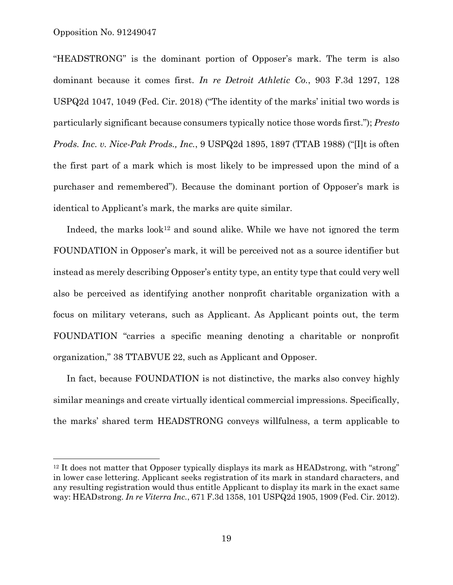Opposition No. 91249047

l

"HEADSTRONG" is the dominant portion of Opposer's mark. The term is also dominant because it comes first. *In re Detroit Athletic Co.*, 903 F.3d 1297, 128 USPQ2d 1047, 1049 (Fed. Cir. 2018) ("The identity of the marks' initial two words is particularly significant because consumers typically notice those words first."); *Presto Prods. Inc. v. Nice-Pak Prods., Inc.*, 9 USPQ2d 1895, 1897 (TTAB 1988) ("[I]t is often the first part of a mark which is most likely to be impressed upon the mind of a purchaser and remembered"). Because the dominant portion of Opposer's mark is identical to Applicant's mark, the marks are quite similar.

Indeed, the marks  $look^{12}$  and sound alike. While we have not ignored the term FOUNDATION in Opposer's mark, it will be perceived not as a source identifier but instead as merely describing Opposer's entity type, an entity type that could very well also be perceived as identifying another nonprofit charitable organization with a focus on military veterans, such as Applicant. As Applicant points out, the term FOUNDATION "carries a specific meaning denoting a charitable or nonprofit organization," 38 TTABVUE 22, such as Applicant and Opposer.

In fact, because FOUNDATION is not distinctive, the marks also convey highly similar meanings and create virtually identical commercial impressions. Specifically, the marks' shared term HEADSTRONG conveys willfulness, a term applicable to

 $12$  It does not matter that Opposer typically displays its mark as HEADstrong, with "strong" in lower case lettering. Applicant seeks registration of its mark in standard characters, and any resulting registration would thus entitle Applicant to display its mark in the exact same way: HEADstrong. *In re Viterra Inc.*, 671 F.3d 1358, 101 USPQ2d 1905, 1909 (Fed. Cir. 2012).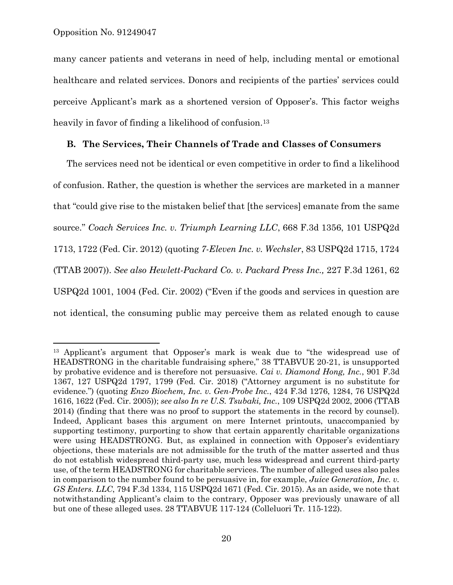l

many cancer patients and veterans in need of help, including mental or emotional healthcare and related services. Donors and recipients of the parties' services could perceive Applicant's mark as a shortened version of Opposer's. This factor weighs heavily in favor of finding a likelihood of confusion.<sup>13</sup>

#### **B. The Services, Their Channels of Trade and Classes of Consumers**

The services need not be identical or even competitive in order to find a likelihood of confusion. Rather, the question is whether the services are marketed in a manner that "could give rise to the mistaken belief that [the services] emanate from the same source." *Coach Services Inc. v. Triumph Learning LLC*, 668 F.3d 1356, 101 USPQ2d 1713, 1722 (Fed. Cir. 2012) (quoting *7-Eleven Inc. v. Wechsler*, 83 USPQ2d 1715, 1724 (TTAB 2007)). *See also Hewlett-Packard Co. v. Packard Press Inc.,* 227 F.3d 1261, 62 USPQ2d 1001, 1004 (Fed. Cir. 2002) ("Even if the goods and services in question are not identical, the consuming public may perceive them as related enough to cause

<sup>13</sup> Applicant's argument that Opposer's mark is weak due to "the widespread use of HEADSTRONG in the charitable fundraising sphere," 38 TTABVUE 20-21, is unsupported by probative evidence and is therefore not persuasive. *Cai v. Diamond Hong, Inc.*, 901 F.3d 1367, 127 USPQ2d 1797, 1799 (Fed. Cir. 2018) ("Attorney argument is no substitute for evidence.") (quoting *Enzo Biochem, Inc. v. Gen-Probe Inc.*, 424 F.3d 1276, 1284, 76 USPQ2d 1616, 1622 (Fed. Cir. 2005)); *see also In re U.S. Tsubaki, Inc.*, 109 USPQ2d 2002, 2006 (TTAB 2014) (finding that there was no proof to support the statements in the record by counsel). Indeed, Applicant bases this argument on mere Internet printouts, unaccompanied by supporting testimony, purporting to show that certain apparently charitable organizations were using HEADSTRONG. But, as explained in connection with Opposer's evidentiary objections, these materials are not admissible for the truth of the matter asserted and thus do not establish widespread third-party use, much less widespread and current third-party use, of the term HEADSTRONG for charitable services. The number of alleged uses also pales in comparison to the number found to be persuasive in, for example, *Juice Generation, Inc. v. GS Enters. LLC*, 794 F.3d 1334, 115 USPQ2d 1671 (Fed. Cir. 2015). As an aside, we note that notwithstanding Applicant's claim to the contrary, Opposer was previously unaware of all but one of these alleged uses. 28 TTABVUE 117-124 (Colleluori Tr. 115-122).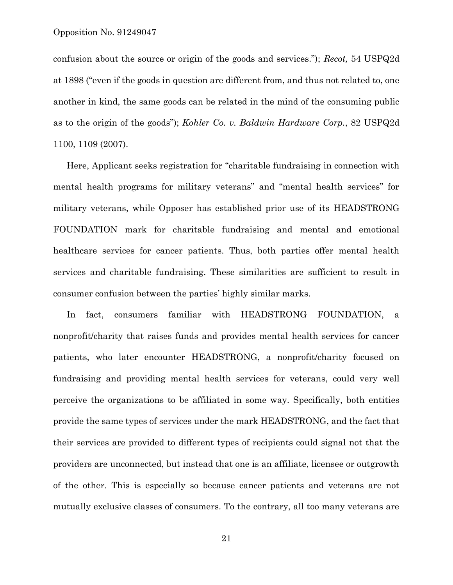confusion about the source or origin of the goods and services."); *Recot,* 54 USPQ2d at 1898 ("even if the goods in question are different from, and thus not related to, one another in kind, the same goods can be related in the mind of the consuming public as to the origin of the goods"); *Kohler Co. v. Baldwin Hardware Corp.*, 82 USPQ2d 1100, 1109 (2007).

Here, Applicant seeks registration for "charitable fundraising in connection with mental health programs for military veterans" and "mental health services" for military veterans, while Opposer has established prior use of its HEADSTRONG FOUNDATION mark for charitable fundraising and mental and emotional healthcare services for cancer patients. Thus, both parties offer mental health services and charitable fundraising. These similarities are sufficient to result in consumer confusion between the parties' highly similar marks.

In fact, consumers familiar with HEADSTRONG FOUNDATION, a nonprofit/charity that raises funds and provides mental health services for cancer patients, who later encounter HEADSTRONG, a nonprofit/charity focused on fundraising and providing mental health services for veterans, could very well perceive the organizations to be affiliated in some way. Specifically, both entities provide the same types of services under the mark HEADSTRONG, and the fact that their services are provided to different types of recipients could signal not that the providers are unconnected, but instead that one is an affiliate, licensee or outgrowth of the other. This is especially so because cancer patients and veterans are not mutually exclusive classes of consumers. To the contrary, all too many veterans are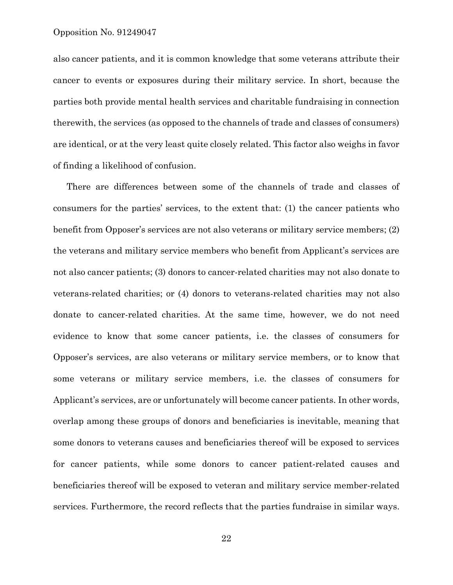also cancer patients, and it is common knowledge that some veterans attribute their cancer to events or exposures during their military service. In short, because the parties both provide mental health services and charitable fundraising in connection therewith, the services (as opposed to the channels of trade and classes of consumers) are identical, or at the very least quite closely related. This factor also weighs in favor of finding a likelihood of confusion.

There are differences between some of the channels of trade and classes of consumers for the parties' services, to the extent that: (1) the cancer patients who benefit from Opposer's services are not also veterans or military service members; (2) the veterans and military service members who benefit from Applicant's services are not also cancer patients; (3) donors to cancer-related charities may not also donate to veterans-related charities; or (4) donors to veterans-related charities may not also donate to cancer-related charities. At the same time, however, we do not need evidence to know that some cancer patients, i.e. the classes of consumers for Opposer's services, are also veterans or military service members, or to know that some veterans or military service members, i.e. the classes of consumers for Applicant's services, are or unfortunately will become cancer patients. In other words, overlap among these groups of donors and beneficiaries is inevitable, meaning that some donors to veterans causes and beneficiaries thereof will be exposed to services for cancer patients, while some donors to cancer patient-related causes and beneficiaries thereof will be exposed to veteran and military service member-related services. Furthermore, the record reflects that the parties fundraise in similar ways.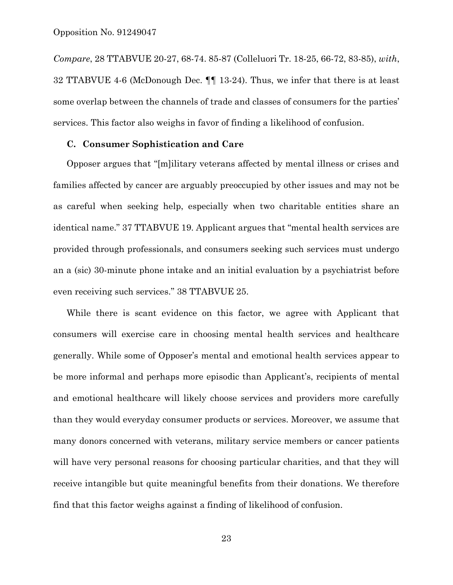*Compare*, 28 TTABVUE 20-27, 68-74. 85-87 (Colleluori Tr. 18-25, 66-72, 83-85), *with*, 32 TTABVUE 4-6 (McDonough Dec. ¶¶ 13-24). Thus, we infer that there is at least some overlap between the channels of trade and classes of consumers for the parties' services. This factor also weighs in favor of finding a likelihood of confusion.

#### **C. Consumer Sophistication and Care**

Opposer argues that "[m]ilitary veterans affected by mental illness or crises and families affected by cancer are arguably preoccupied by other issues and may not be as careful when seeking help, especially when two charitable entities share an identical name." 37 TTABVUE 19. Applicant argues that "mental health services are provided through professionals, and consumers seeking such services must undergo an a (sic) 30-minute phone intake and an initial evaluation by a psychiatrist before even receiving such services." 38 TTABVUE 25.

While there is scant evidence on this factor, we agree with Applicant that consumers will exercise care in choosing mental health services and healthcare generally. While some of Opposer's mental and emotional health services appear to be more informal and perhaps more episodic than Applicant's, recipients of mental and emotional healthcare will likely choose services and providers more carefully than they would everyday consumer products or services. Moreover, we assume that many donors concerned with veterans, military service members or cancer patients will have very personal reasons for choosing particular charities, and that they will receive intangible but quite meaningful benefits from their donations. We therefore find that this factor weighs against a finding of likelihood of confusion.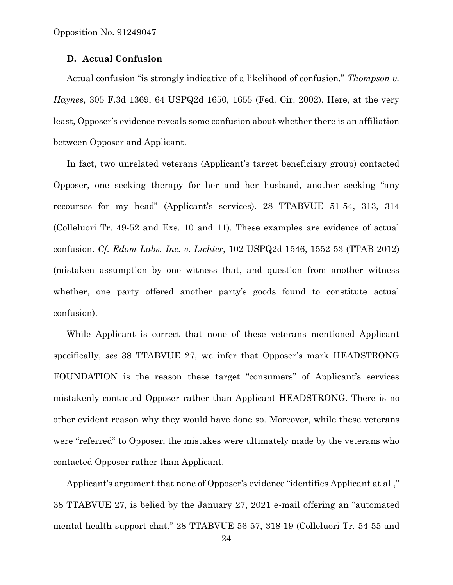## **D. Actual Confusion**

Actual confusion "is strongly indicative of a likelihood of confusion." *Thompson v. Haynes*, 305 F.3d 1369, 64 USPQ2d 1650, 1655 (Fed. Cir. 2002). Here, at the very least, Opposer's evidence reveals some confusion about whether there is an affiliation between Opposer and Applicant.

In fact, two unrelated veterans (Applicant's target beneficiary group) contacted Opposer, one seeking therapy for her and her husband, another seeking "any recourses for my head" (Applicant's services). 28 TTABVUE 51-54, 313, 314 (Colleluori Tr. 49-52 and Exs. 10 and 11). These examples are evidence of actual confusion. *Cf. Edom Labs. Inc. v. Lichter*, 102 USPQ2d 1546, 1552-53 (TTAB 2012) (mistaken assumption by one witness that, and question from another witness whether, one party offered another party's goods found to constitute actual confusion).

While Applicant is correct that none of these veterans mentioned Applicant specifically, *see* 38 TTABVUE 27, we infer that Opposer's mark HEADSTRONG FOUNDATION is the reason these target "consumers" of Applicant's services mistakenly contacted Opposer rather than Applicant HEADSTRONG. There is no other evident reason why they would have done so. Moreover, while these veterans were "referred" to Opposer, the mistakes were ultimately made by the veterans who contacted Opposer rather than Applicant.

Applicant's argument that none of Opposer's evidence "identifies Applicant at all," 38 TTABVUE 27, is belied by the January 27, 2021 e-mail offering an "automated mental health support chat." 28 TTABVUE 56-57, 318-19 (Colleluori Tr. 54-55 and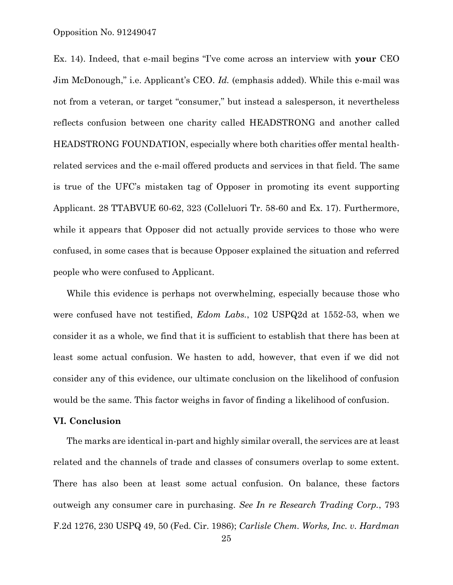Ex. 14). Indeed, that e-mail begins "I've come across an interview with **your** CEO Jim McDonough," i.e. Applicant's CEO. *Id.* (emphasis added). While this e-mail was not from a veteran, or target "consumer," but instead a salesperson, it nevertheless reflects confusion between one charity called HEADSTRONG and another called HEADSTRONG FOUNDATION, especially where both charities offer mental healthrelated services and the e-mail offered products and services in that field. The same is true of the UFC's mistaken tag of Opposer in promoting its event supporting Applicant. 28 TTABVUE 60-62, 323 (Colleluori Tr. 58-60 and Ex. 17). Furthermore, while it appears that Opposer did not actually provide services to those who were confused, in some cases that is because Opposer explained the situation and referred people who were confused to Applicant.

While this evidence is perhaps not overwhelming, especially because those who were confused have not testified, *Edom Labs.*, 102 USPQ2d at 1552-53, when we consider it as a whole, we find that it is sufficient to establish that there has been at least some actual confusion. We hasten to add, however, that even if we did not consider any of this evidence, our ultimate conclusion on the likelihood of confusion would be the same. This factor weighs in favor of finding a likelihood of confusion.

#### **VI. Conclusion**

The marks are identical in-part and highly similar overall, the services are at least related and the channels of trade and classes of consumers overlap to some extent. There has also been at least some actual confusion. On balance, these factors outweigh any consumer care in purchasing. *See In re Research Trading Corp.*, 793 F.2d 1276, 230 USPQ 49, 50 (Fed. Cir. 1986); *Carlisle Chem. Works, Inc. v. Hardman*